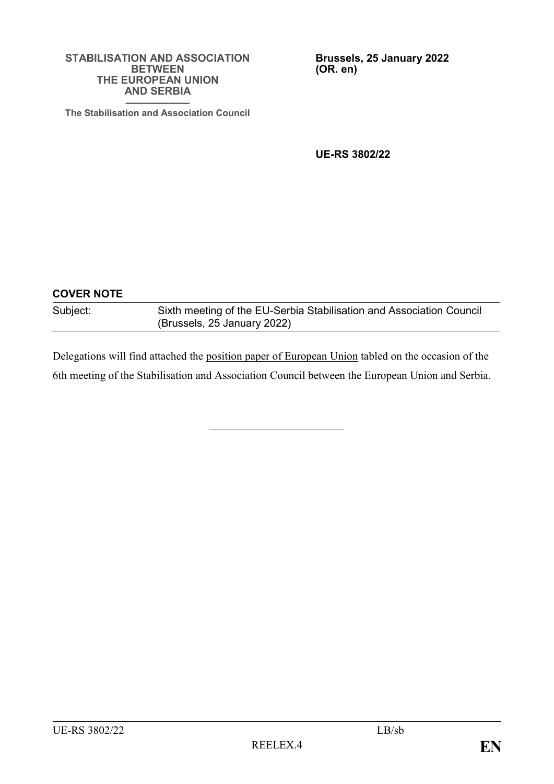#### **STABILISATION AND ASSOCIATION BETWEEN THE EUROPEAN UNION AND SERBIA**

**—————— The Stabilisation and Association Council** **Brussels, 25 January 2022 (OR. en)**

**UE-RS 3802/22**

#### **COVER NOTE**

Subject: Sixth meeting of the EU-Serbia Stabilisation and Association Council (Brussels, 25 January 2022)

Delegations will find attached the position paper of European Union tabled on the occasion of the 6th meeting of the Stabilisation and Association Council between the European Union and Serbia.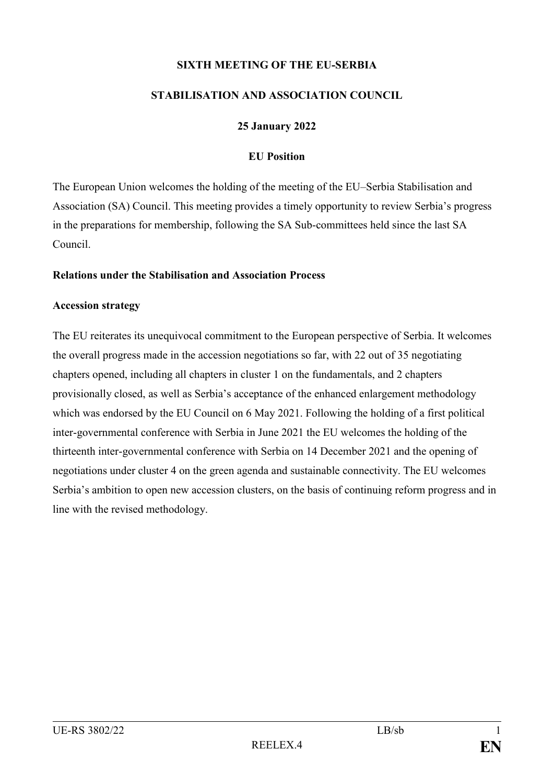#### **SIXTH MEETING OF THE EU-SERBIA**

#### **STABILISATION AND ASSOCIATION COUNCIL**

### **25 January 2022**

# **EU Position**

The European Union welcomes the holding of the meeting of the EU–Serbia Stabilisation and Association (SA) Council. This meeting provides a timely opportunity to review Serbia's progress in the preparations for membership, following the SA Sub-committees held since the last SA Council.

#### **Relations under the Stabilisation and Association Process**

#### **Accession strategy**

The EU reiterates its unequivocal commitment to the European perspective of Serbia. It welcomes the overall progress made in the accession negotiations so far, with 22 out of 35 negotiating chapters opened, including all chapters in cluster 1 on the fundamentals, and 2 chapters provisionally closed, as well as Serbia's acceptance of the enhanced enlargement methodology which was endorsed by the EU Council on 6 May 2021. Following the holding of a first political inter-governmental conference with Serbia in June 2021 the EU welcomes the holding of the thirteenth inter-governmental conference with Serbia on 14 December 2021 and the opening of negotiations under cluster 4 on the green agenda and sustainable connectivity. The EU welcomes Serbia's ambition to open new accession clusters, on the basis of continuing reform progress and in line with the revised methodology.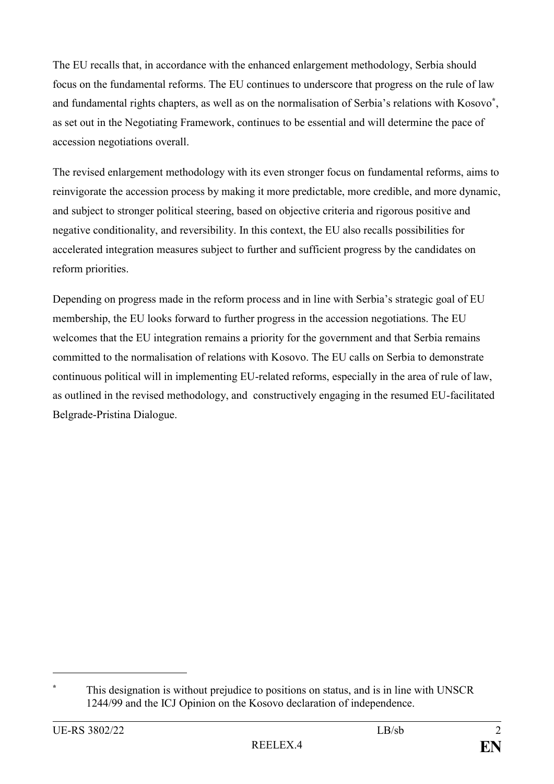The EU recalls that, in accordance with the enhanced enlargement methodology, Serbia should focus on the fundamental reforms. The EU continues to underscore that progress on the rule of law and fundamental rights chapters, as well as on the normalisation of Serbia's relations with Kosovo**\*** , as set out in the Negotiating Framework, continues to be essential and will determine the pace of accession negotiations overall.

The revised enlargement methodology with its even stronger focus on fundamental reforms, aims to reinvigorate the accession process by making it more predictable, more credible, and more dynamic, and subject to stronger political steering, based on objective criteria and rigorous positive and negative conditionality, and reversibility. In this context, the EU also recalls possibilities for accelerated integration measures subject to further and sufficient progress by the candidates on reform priorities.

Depending on progress made in the reform process and in line with Serbia's strategic goal of EU membership, the EU looks forward to further progress in the accession negotiations. The EU welcomes that the EU integration remains a priority for the government and that Serbia remains committed to the normalisation of relations with Kosovo. The EU calls on Serbia to demonstrate continuous political will in implementing EU-related reforms, especially in the area of rule of law, as outlined in the revised methodology, and constructively engaging in the resumed EU-facilitated Belgrade-Pristina Dialogue.

1

**<sup>\*</sup>** This designation is without prejudice to positions on status, and is in line with UNSCR 1244/99 and the ICJ Opinion on the Kosovo declaration of independence.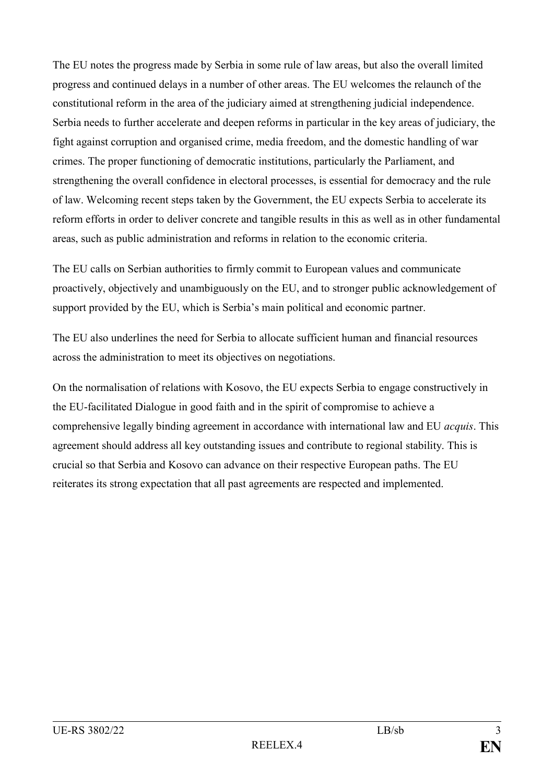The EU notes the progress made by Serbia in some rule of law areas, but also the overall limited progress and continued delays in a number of other areas. The EU welcomes the relaunch of the constitutional reform in the area of the judiciary aimed at strengthening judicial independence. Serbia needs to further accelerate and deepen reforms in particular in the key areas of judiciary, the fight against corruption and organised crime, media freedom, and the domestic handling of war crimes. The proper functioning of democratic institutions, particularly the Parliament, and strengthening the overall confidence in electoral processes, is essential for democracy and the rule of law. Welcoming recent steps taken by the Government, the EU expects Serbia to accelerate its reform efforts in order to deliver concrete and tangible results in this as well as in other fundamental areas, such as public administration and reforms in relation to the economic criteria.

The EU calls on Serbian authorities to firmly commit to European values and communicate proactively, objectively and unambiguously on the EU, and to stronger public acknowledgement of support provided by the EU, which is Serbia's main political and economic partner.

The EU also underlines the need for Serbia to allocate sufficient human and financial resources across the administration to meet its objectives on negotiations.

On the normalisation of relations with Kosovo, the EU expects Serbia to engage constructively in the EU-facilitated Dialogue in good faith and in the spirit of compromise to achieve a comprehensive legally binding agreement in accordance with international law and EU *acquis*. This agreement should address all key outstanding issues and contribute to regional stability. This is crucial so that Serbia and Kosovo can advance on their respective European paths. The EU reiterates its strong expectation that all past agreements are respected and implemented.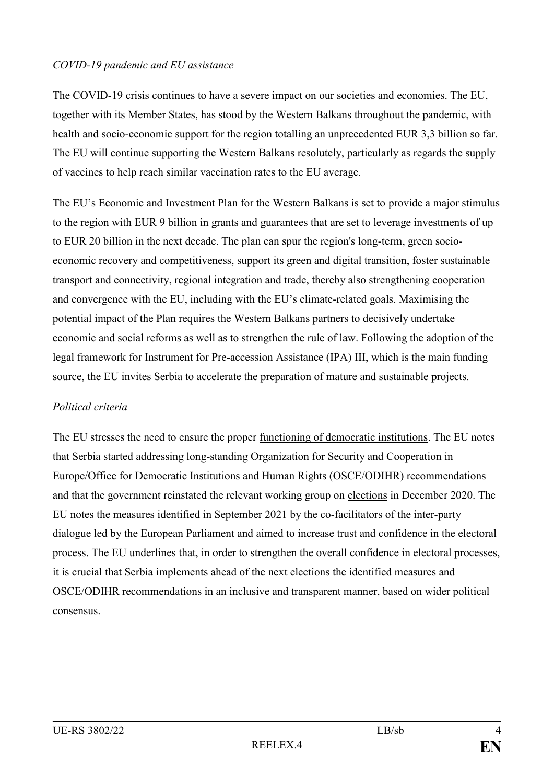# *COVID-19 pandemic and EU assistance*

The COVID-19 crisis continues to have a severe impact on our societies and economies. The EU, together with its Member States, has stood by the Western Balkans throughout the pandemic, with health and socio-economic support for the region totalling an unprecedented EUR 3,3 billion so far. The EU will continue supporting the Western Balkans resolutely, particularly as regards the supply of vaccines to help reach similar vaccination rates to the EU average.

The EU's Economic and Investment Plan for the Western Balkans is set to provide a major stimulus to the region with EUR 9 billion in grants and guarantees that are set to leverage investments of up to EUR 20 billion in the next decade. The plan can spur the region's long-term, green socioeconomic recovery and competitiveness, support its green and digital transition, foster sustainable transport and connectivity, regional integration and trade, thereby also strengthening cooperation and convergence with the EU, including with the EU's climate-related goals. Maximising the potential impact of the Plan requires the Western Balkans partners to decisively undertake economic and social reforms as well as to strengthen the rule of law. Following the adoption of the legal framework for Instrument for Pre-accession Assistance (IPA) III, which is the main funding source, the EU invites Serbia to accelerate the preparation of mature and sustainable projects.

# *Political criteria*

The EU stresses the need to ensure the proper functioning of democratic institutions. The EU notes that Serbia started addressing long-standing Organization for Security and Cooperation in Europe/Office for Democratic Institutions and Human Rights (OSCE/ODIHR) recommendations and that the government reinstated the relevant working group on elections in December 2020. The EU notes the measures identified in September 2021 by the co-facilitators of the inter-party dialogue led by the European Parliament and aimed to increase trust and confidence in the electoral process. The EU underlines that, in order to strengthen the overall confidence in electoral processes, it is crucial that Serbia implements ahead of the next elections the identified measures and OSCE/ODIHR recommendations in an inclusive and transparent manner, based on wider political consensus.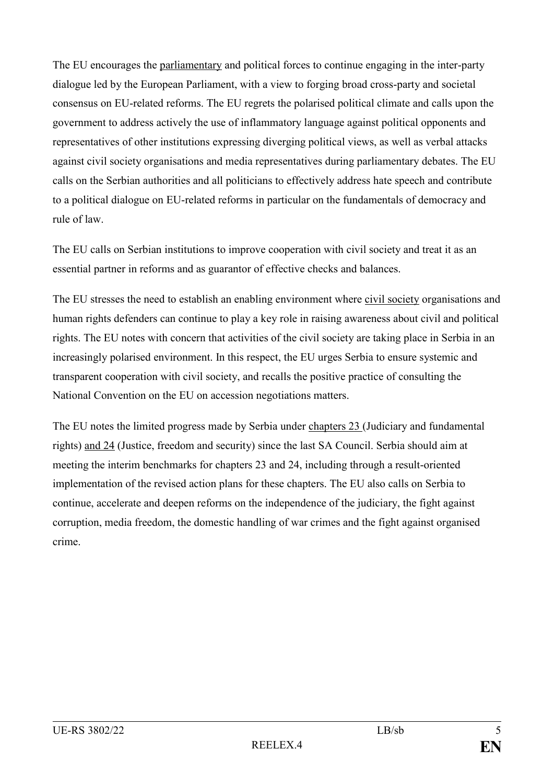The EU encourages the parliamentary and political forces to continue engaging in the inter-party dialogue led by the European Parliament, with a view to forging broad cross-party and societal consensus on EU-related reforms. The EU regrets the polarised political climate and calls upon the government to address actively the use of inflammatory language against political opponents and representatives of other institutions expressing diverging political views, as well as verbal attacks against civil society organisations and media representatives during parliamentary debates. The EU calls on the Serbian authorities and all politicians to effectively address hate speech and contribute to a political dialogue on EU-related reforms in particular on the fundamentals of democracy and rule of law.

The EU calls on Serbian institutions to improve cooperation with civil society and treat it as an essential partner in reforms and as guarantor of effective checks and balances.

The EU stresses the need to establish an enabling environment where civil society organisations and human rights defenders can continue to play a key role in raising awareness about civil and political rights. The EU notes with concern that activities of the civil society are taking place in Serbia in an increasingly polarised environment. In this respect, the EU urges Serbia to ensure systemic and transparent cooperation with civil society, and recalls the positive practice of consulting the National Convention on the EU on accession negotiations matters.

The EU notes the limited progress made by Serbia under chapters 23 (Judiciary and fundamental rights) and 24 (Justice, freedom and security) since the last SA Council. Serbia should aim at meeting the interim benchmarks for chapters 23 and 24, including through a result-oriented implementation of the revised action plans for these chapters. The EU also calls on Serbia to continue, accelerate and deepen reforms on the independence of the judiciary, the fight against corruption, media freedom, the domestic handling of war crimes and the fight against organised crime.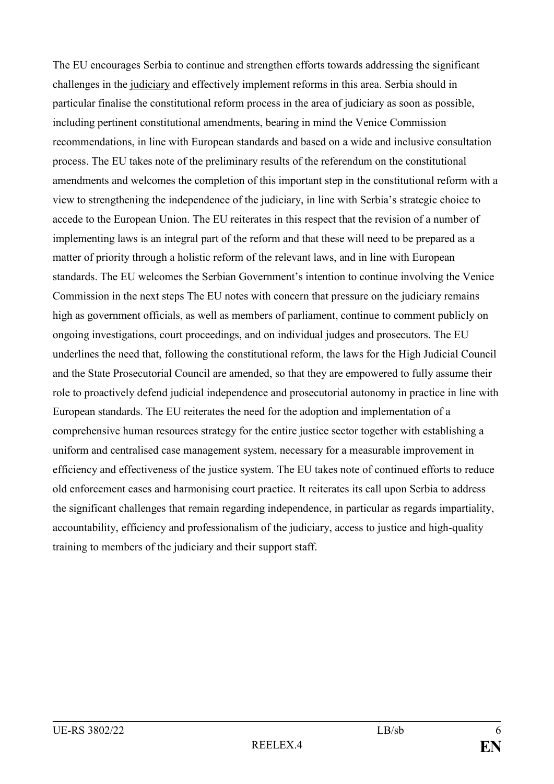The EU encourages Serbia to continue and strengthen efforts towards addressing the significant challenges in the judiciary and effectively implement reforms in this area. Serbia should in particular finalise the constitutional reform process in the area of judiciary as soon as possible, including pertinent constitutional amendments, bearing in mind the Venice Commission recommendations, in line with European standards and based on a wide and inclusive consultation process. The EU takes note of the preliminary results of the referendum on the constitutional amendments and welcomes the completion of this important step in the constitutional reform with a view to strengthening the independence of the judiciary, in line with Serbia's strategic choice to accede to the European Union. The EU reiterates in this respect that the revision of a number of implementing laws is an integral part of the reform and that these will need to be prepared as a matter of priority through a holistic reform of the relevant laws, and in line with European standards. The EU welcomes the Serbian Government's intention to continue involving the Venice Commission in the next steps The EU notes with concern that pressure on the judiciary remains high as government officials, as well as members of parliament, continue to comment publicly on ongoing investigations, court proceedings, and on individual judges and prosecutors. The EU underlines the need that, following the constitutional reform, the laws for the High Judicial Council and the State Prosecutorial Council are amended, so that they are empowered to fully assume their role to proactively defend judicial independence and prosecutorial autonomy in practice in line with European standards. The EU reiterates the need for the adoption and implementation of a comprehensive human resources strategy for the entire justice sector together with establishing a uniform and centralised case management system, necessary for a measurable improvement in efficiency and effectiveness of the justice system. The EU takes note of continued efforts to reduce old enforcement cases and harmonising court practice. It reiterates its call upon Serbia to address the significant challenges that remain regarding independence, in particular as regards impartiality, accountability, efficiency and professionalism of the judiciary, access to justice and high-quality training to members of the judiciary and their support staff.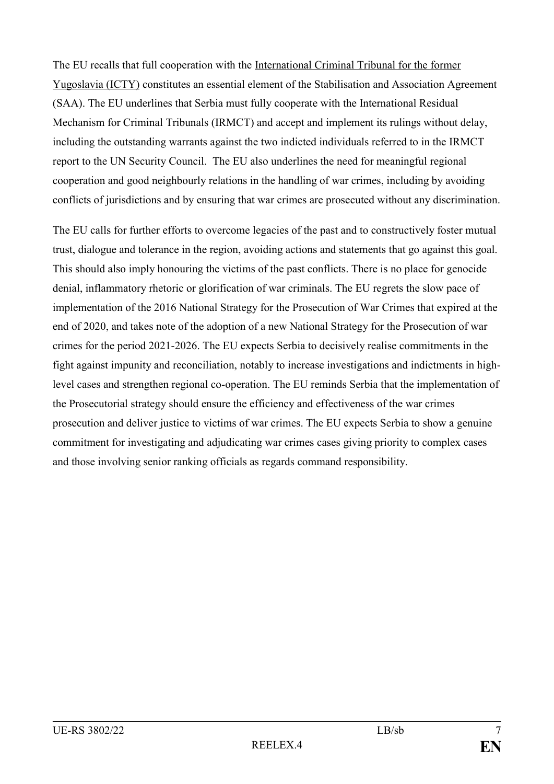The EU recalls that full cooperation with the International Criminal Tribunal for the former Yugoslavia (ICTY) constitutes an essential element of the Stabilisation and Association Agreement (SAA). The EU underlines that Serbia must fully cooperate with the International Residual Mechanism for Criminal Tribunals (IRMCT) and accept and implement its rulings without delay, including the outstanding warrants against the two indicted individuals referred to in the IRMCT report to the UN Security Council. The EU also underlines the need for meaningful regional cooperation and good neighbourly relations in the handling of war crimes, including by avoiding conflicts of jurisdictions and by ensuring that war crimes are prosecuted without any discrimination.

The EU calls for further efforts to overcome legacies of the past and to constructively foster mutual trust, dialogue and tolerance in the region, avoiding actions and statements that go against this goal. This should also imply honouring the victims of the past conflicts. There is no place for genocide denial, inflammatory rhetoric or glorification of war criminals. The EU regrets the slow pace of implementation of the 2016 National Strategy for the Prosecution of War Crimes that expired at the end of 2020, and takes note of the adoption of a new National Strategy for the Prosecution of war crimes for the period 2021-2026. The EU expects Serbia to decisively realise commitments in the fight against impunity and reconciliation, notably to increase investigations and indictments in highlevel cases and strengthen regional co-operation. The EU reminds Serbia that the implementation of the Prosecutorial strategy should ensure the efficiency and effectiveness of the war crimes prosecution and deliver justice to victims of war crimes. The EU expects Serbia to show a genuine commitment for investigating and adjudicating war crimes cases giving priority to complex cases and those involving senior ranking officials as regards command responsibility.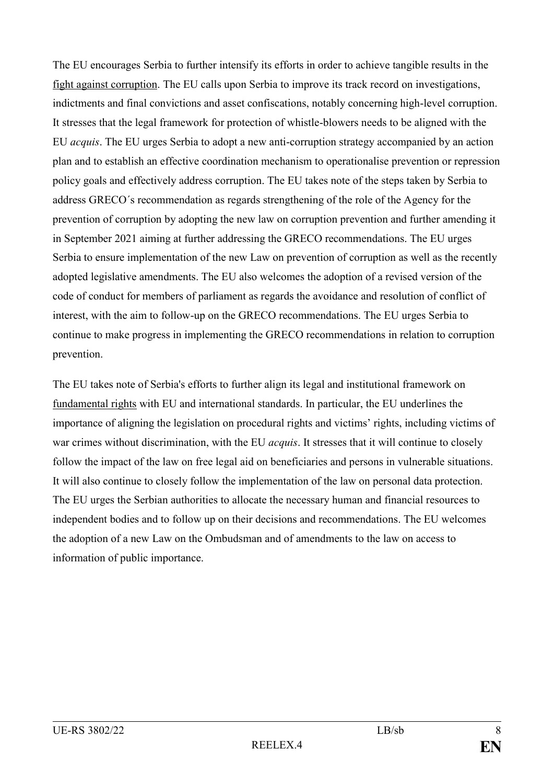The EU encourages Serbia to further intensify its efforts in order to achieve tangible results in the fight against corruption. The EU calls upon Serbia to improve its track record on investigations, indictments and final convictions and asset confiscations, notably concerning high-level corruption. It stresses that the legal framework for protection of whistle-blowers needs to be aligned with the EU *acquis*. The EU urges Serbia to adopt a new anti-corruption strategy accompanied by an action plan and to establish an effective coordination mechanism to operationalise prevention or repression policy goals and effectively address corruption. The EU takes note of the steps taken by Serbia to address GRECO´s recommendation as regards strengthening of the role of the Agency for the prevention of corruption by adopting the new law on corruption prevention and further amending it in September 2021 aiming at further addressing the GRECO recommendations. The EU urges Serbia to ensure implementation of the new Law on prevention of corruption as well as the recently adopted legislative amendments. The EU also welcomes the adoption of a revised version of the code of conduct for members of parliament as regards the avoidance and resolution of conflict of interest, with the aim to follow-up on the GRECO recommendations. The EU urges Serbia to continue to make progress in implementing the GRECO recommendations in relation to corruption prevention.

The EU takes note of Serbia's efforts to further align its legal and institutional framework on fundamental rights with EU and international standards. In particular, the EU underlines the importance of aligning the legislation on procedural rights and victims' rights, including victims of war crimes without discrimination, with the EU *acquis*. It stresses that it will continue to closely follow the impact of the law on free legal aid on beneficiaries and persons in vulnerable situations. It will also continue to closely follow the implementation of the law on personal data protection. The EU urges the Serbian authorities to allocate the necessary human and financial resources to independent bodies and to follow up on their decisions and recommendations. The EU welcomes the adoption of a new Law on the Ombudsman and of amendments to the law on access to information of public importance.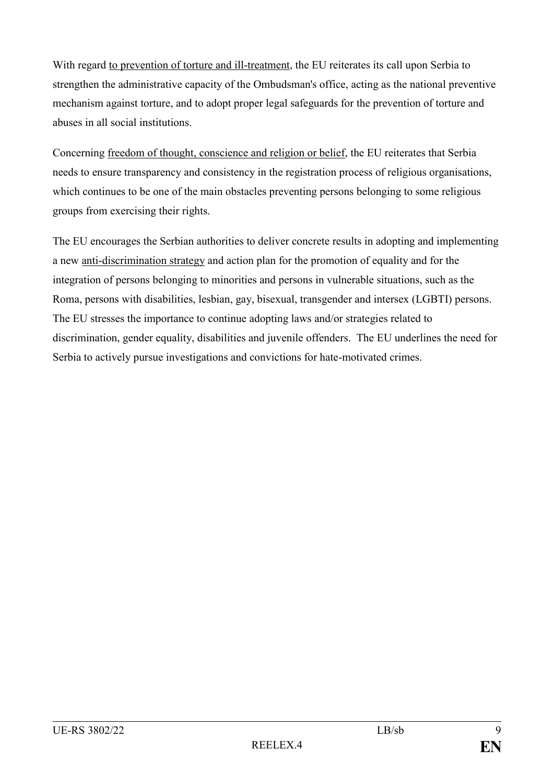With regard to prevention of torture and ill-treatment, the EU reiterates its call upon Serbia to strengthen the administrative capacity of the Ombudsman's office, acting as the national preventive mechanism against torture, and to adopt proper legal safeguards for the prevention of torture and abuses in all social institutions.

Concerning freedom of thought, conscience and religion or belief, the EU reiterates that Serbia needs to ensure transparency and consistency in the registration process of religious organisations, which continues to be one of the main obstacles preventing persons belonging to some religious groups from exercising their rights.

The EU encourages the Serbian authorities to deliver concrete results in adopting and implementing a new anti-discrimination strategy and action plan for the promotion of equality and for the integration of persons belonging to minorities and persons in vulnerable situations, such as the Roma, persons with disabilities, lesbian, gay, bisexual, transgender and intersex (LGBTI) persons. The EU stresses the importance to continue adopting laws and/or strategies related to discrimination, gender equality, disabilities and juvenile offenders. The EU underlines the need for Serbia to actively pursue investigations and convictions for hate-motivated crimes.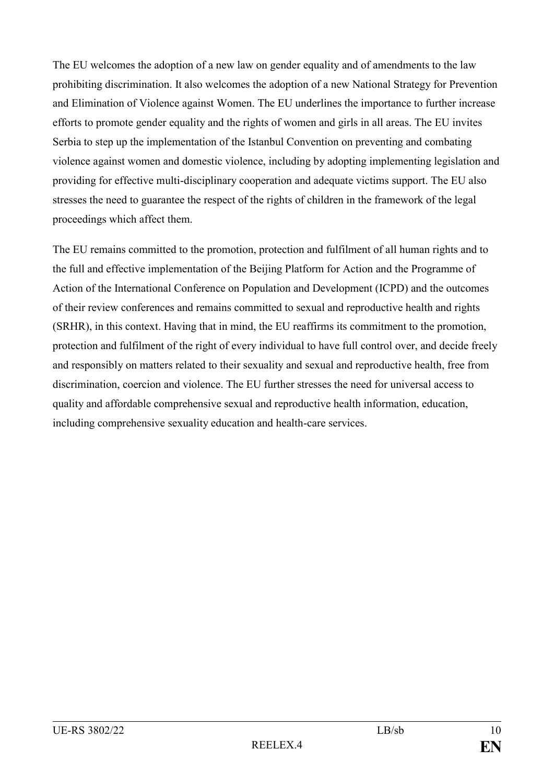The EU welcomes the adoption of a new law on gender equality and of amendments to the law prohibiting discrimination. It also welcomes the adoption of a new National Strategy for Prevention and Elimination of Violence against Women. The EU underlines the importance to further increase efforts to promote gender equality and the rights of women and girls in all areas. The EU invites Serbia to step up the implementation of the Istanbul Convention on preventing and combating violence against women and domestic violence, including by adopting implementing legislation and providing for effective multi-disciplinary cooperation and adequate victims support. The EU also stresses the need to guarantee the respect of the rights of children in the framework of the legal proceedings which affect them.

The EU remains committed to the promotion, protection and fulfilment of all human rights and to the full and effective implementation of the Beijing Platform for Action and the Programme of Action of the International Conference on Population and Development (ICPD) and the outcomes of their review conferences and remains committed to sexual and reproductive health and rights (SRHR), in this context. Having that in mind, the EU reaffirms its commitment to the promotion, protection and fulfilment of the right of every individual to have full control over, and decide freely and responsibly on matters related to their sexuality and sexual and reproductive health, free from discrimination, coercion and violence. The EU further stresses the need for universal access to quality and affordable comprehensive sexual and reproductive health information, education, including comprehensive sexuality education and health-care services.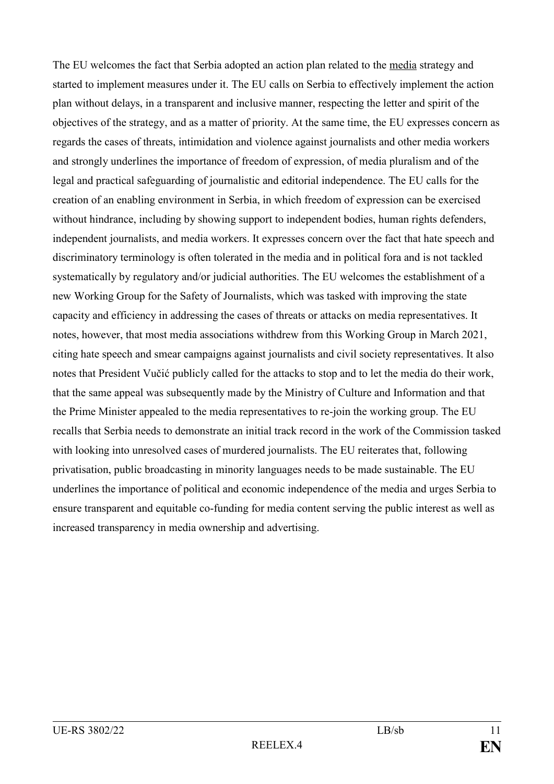The EU welcomes the fact that Serbia adopted an action plan related to the media strategy and started to implement measures under it. The EU calls on Serbia to effectively implement the action plan without delays, in a transparent and inclusive manner, respecting the letter and spirit of the objectives of the strategy, and as a matter of priority. At the same time, the EU expresses concern as regards the cases of threats, intimidation and violence against journalists and other media workers and strongly underlines the importance of freedom of expression, of media pluralism and of the legal and practical safeguarding of journalistic and editorial independence. The EU calls for the creation of an enabling environment in Serbia, in which freedom of expression can be exercised without hindrance, including by showing support to independent bodies, human rights defenders, independent journalists, and media workers. It expresses concern over the fact that hate speech and discriminatory terminology is often tolerated in the media and in political fora and is not tackled systematically by regulatory and/or judicial authorities. The EU welcomes the establishment of a new Working Group for the Safety of Journalists, which was tasked with improving the state capacity and efficiency in addressing the cases of threats or attacks on media representatives. It notes, however, that most media associations withdrew from this Working Group in March 2021, citing hate speech and smear campaigns against journalists and civil society representatives. It also notes that President Vučić publicly called for the attacks to stop and to let the media do their work, that the same appeal was subsequently made by the Ministry of Culture and Information and that the Prime Minister appealed to the media representatives to re-join the working group. The EU recalls that Serbia needs to demonstrate an initial track record in the work of the Commission tasked with looking into unresolved cases of murdered journalists. The EU reiterates that, following privatisation, public broadcasting in minority languages needs to be made sustainable. The EU underlines the importance of political and economic independence of the media and urges Serbia to ensure transparent and equitable co-funding for media content serving the public interest as well as increased transparency in media ownership and advertising.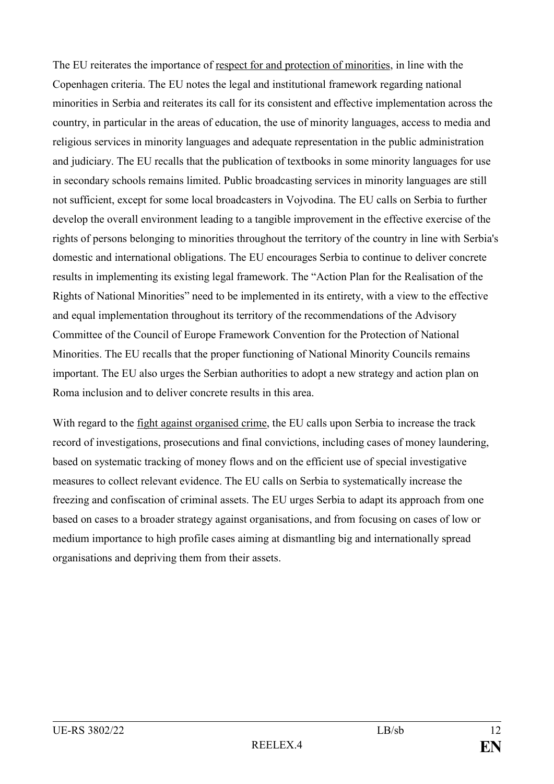The EU reiterates the importance of respect for and protection of minorities, in line with the Copenhagen criteria. The EU notes the legal and institutional framework regarding national minorities in Serbia and reiterates its call for its consistent and effective implementation across the country, in particular in the areas of education, the use of minority languages, access to media and religious services in minority languages and adequate representation in the public administration and judiciary. The EU recalls that the publication of textbooks in some minority languages for use in secondary schools remains limited. Public broadcasting services in minority languages are still not sufficient, except for some local broadcasters in Vojvodina. The EU calls on Serbia to further develop the overall environment leading to a tangible improvement in the effective exercise of the rights of persons belonging to minorities throughout the territory of the country in line with Serbia's domestic and international obligations. The EU encourages Serbia to continue to deliver concrete results in implementing its existing legal framework. The "Action Plan for the Realisation of the Rights of National Minorities" need to be implemented in its entirety, with a view to the effective and equal implementation throughout its territory of the recommendations of the Advisory Committee of the Council of Europe Framework Convention for the Protection of National Minorities. The EU recalls that the proper functioning of National Minority Councils remains important. The EU also urges the Serbian authorities to adopt a new strategy and action plan on Roma inclusion and to deliver concrete results in this area.

With regard to the fight against organised crime, the EU calls upon Serbia to increase the track record of investigations, prosecutions and final convictions, including cases of money laundering, based on systematic tracking of money flows and on the efficient use of special investigative measures to collect relevant evidence. The EU calls on Serbia to systematically increase the freezing and confiscation of criminal assets. The EU urges Serbia to adapt its approach from one based on cases to a broader strategy against organisations, and from focusing on cases of low or medium importance to high profile cases aiming at dismantling big and internationally spread organisations and depriving them from their assets.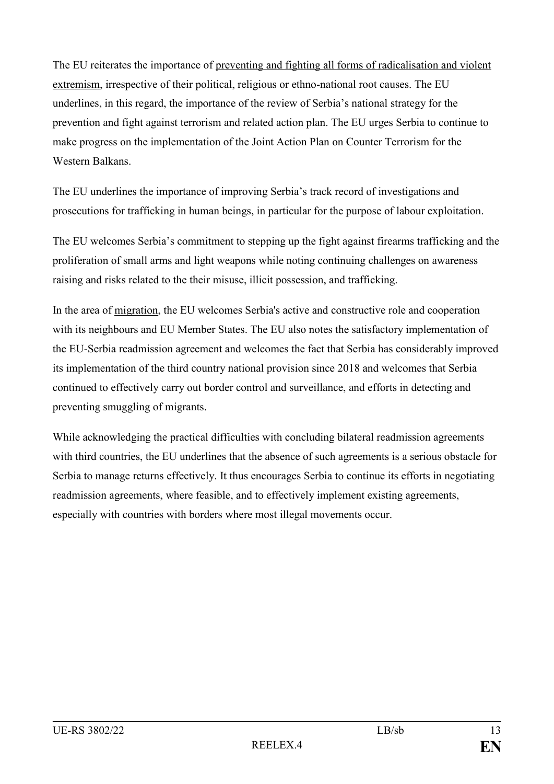The EU reiterates the importance of preventing and fighting all forms of radicalisation and violent extremism, irrespective of their political, religious or ethno-national root causes. The EU underlines, in this regard, the importance of the review of Serbia's national strategy for the prevention and fight against terrorism and related action plan. The EU urges Serbia to continue to make progress on the implementation of the Joint Action Plan on Counter Terrorism for the Western Balkans.

The EU underlines the importance of improving Serbia's track record of investigations and prosecutions for trafficking in human beings, in particular for the purpose of labour exploitation.

The EU welcomes Serbia's commitment to stepping up the fight against firearms trafficking and the proliferation of small arms and light weapons while noting continuing challenges on awareness raising and risks related to the their misuse, illicit possession, and trafficking.

In the area of migration, the EU welcomes Serbia's active and constructive role and cooperation with its neighbours and EU Member States. The EU also notes the satisfactory implementation of the EU-Serbia readmission agreement and welcomes the fact that Serbia has considerably improved its implementation of the third country national provision since 2018 and welcomes that Serbia continued to effectively carry out border control and surveillance, and efforts in detecting and preventing smuggling of migrants.

While acknowledging the practical difficulties with concluding bilateral readmission agreements with third countries, the EU underlines that the absence of such agreements is a serious obstacle for Serbia to manage returns effectively. It thus encourages Serbia to continue its efforts in negotiating readmission agreements, where feasible, and to effectively implement existing agreements, especially with countries with borders where most illegal movements occur.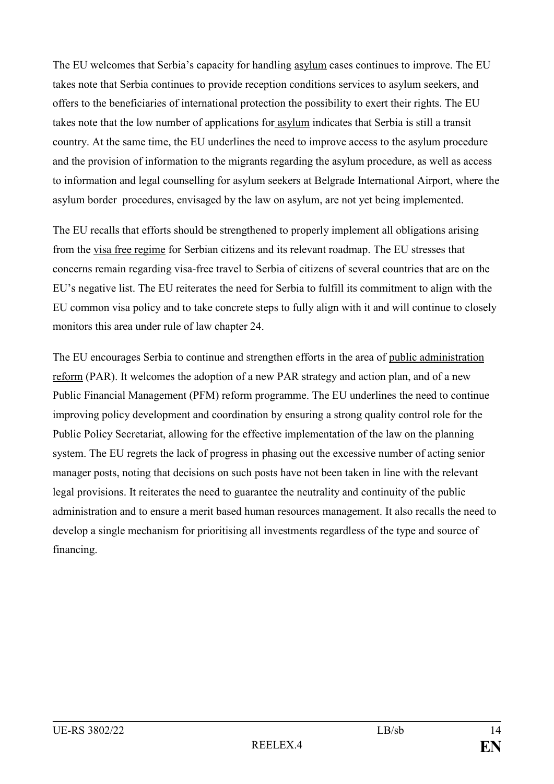The EU welcomes that Serbia's capacity for handling asylum cases continues to improve. The EU takes note that Serbia continues to provide reception conditions services to asylum seekers, and offers to the beneficiaries of international protection the possibility to exert their rights. The EU takes note that the low number of applications for asylum indicates that Serbia is still a transit country. At the same time, the EU underlines the need to improve access to the asylum procedure and the provision of information to the migrants regarding the asylum procedure, as well as access to information and legal counselling for asylum seekers at Belgrade International Airport, where the asylum border procedures, envisaged by the law on asylum, are not yet being implemented.

The EU recalls that efforts should be strengthened to properly implement all obligations arising from the visa free regime for Serbian citizens and its relevant roadmap. The EU stresses that concerns remain regarding visa-free travel to Serbia of citizens of several countries that are on the EU's negative list. The EU reiterates the need for Serbia to fulfill its commitment to align with the EU common visa policy and to take concrete steps to fully align with it and will continue to closely monitors this area under rule of law chapter 24.

The EU encourages Serbia to continue and strengthen efforts in the area of public administration reform (PAR). It welcomes the adoption of a new PAR strategy and action plan, and of a new Public Financial Management (PFM) reform programme. The EU underlines the need to continue improving policy development and coordination by ensuring a strong quality control role for the Public Policy Secretariat, allowing for the effective implementation of the law on the planning system. The EU regrets the lack of progress in phasing out the excessive number of acting senior manager posts, noting that decisions on such posts have not been taken in line with the relevant legal provisions. It reiterates the need to guarantee the neutrality and continuity of the public administration and to ensure a merit based human resources management. It also recalls the need to develop a single mechanism for prioritising all investments regardless of the type and source of financing.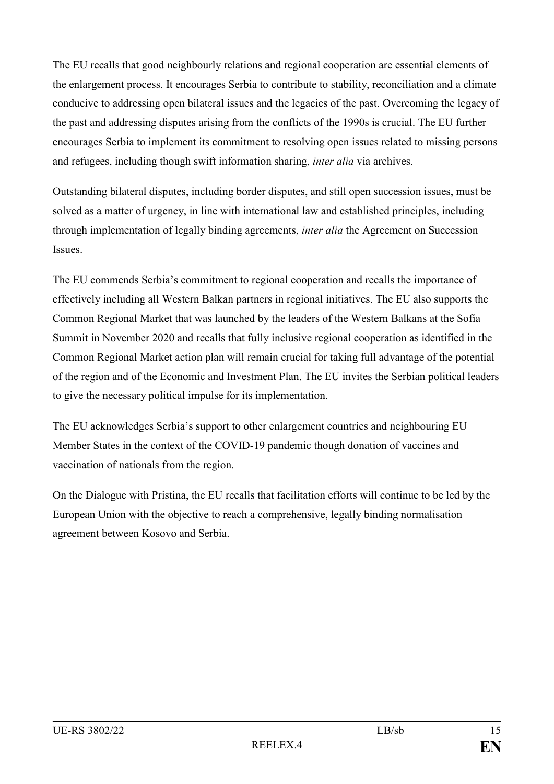The EU recalls that good neighbourly relations and regional cooperation are essential elements of the enlargement process. It encourages Serbia to contribute to stability, reconciliation and a climate conducive to addressing open bilateral issues and the legacies of the past. Overcoming the legacy of the past and addressing disputes arising from the conflicts of the 1990s is crucial. The EU further encourages Serbia to implement its commitment to resolving open issues related to missing persons and refugees, including though swift information sharing, *inter alia* via archives.

Outstanding bilateral disputes, including border disputes, and still open succession issues, must be solved as a matter of urgency, in line with international law and established principles, including through implementation of legally binding agreements, *inter alia* the Agreement on Succession Issues.

The EU commends Serbia's commitment to regional cooperation and recalls the importance of effectively including all Western Balkan partners in regional initiatives. The EU also supports the Common Regional Market that was launched by the leaders of the Western Balkans at the Sofia Summit in November 2020 and recalls that fully inclusive regional cooperation as identified in the Common Regional Market action plan will remain crucial for taking full advantage of the potential of the region and of the Economic and Investment Plan. The EU invites the Serbian political leaders to give the necessary political impulse for its implementation.

The EU acknowledges Serbia's support to other enlargement countries and neighbouring EU Member States in the context of the COVID-19 pandemic though donation of vaccines and vaccination of nationals from the region.

On the Dialogue with Pristina, the EU recalls that facilitation efforts will continue to be led by the European Union with the objective to reach a comprehensive, legally binding normalisation agreement between Kosovo and Serbia.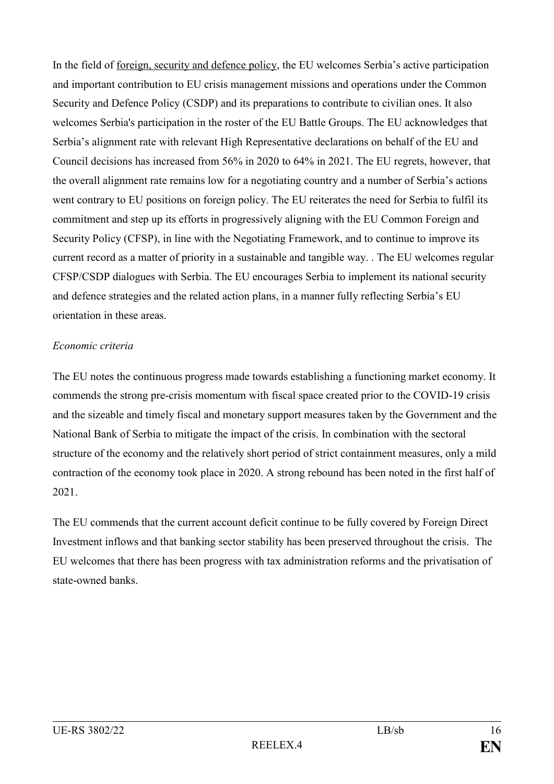In the field of foreign, security and defence policy, the EU welcomes Serbia's active participation and important contribution to EU crisis management missions and operations under the Common Security and Defence Policy (CSDP) and its preparations to contribute to civilian ones. It also welcomes Serbia's participation in the roster of the EU Battle Groups. The EU acknowledges that Serbia's alignment rate with relevant High Representative declarations on behalf of the EU and Council decisions has increased from 56% in 2020 to 64% in 2021. The EU regrets, however, that the overall alignment rate remains low for a negotiating country and a number of Serbia's actions went contrary to EU positions on foreign policy. The EU reiterates the need for Serbia to fulfil its commitment and step up its efforts in progressively aligning with the EU Common Foreign and Security Policy (CFSP), in line with the Negotiating Framework, and to continue to improve its current record as a matter of priority in a sustainable and tangible way. . The EU welcomes regular CFSP/CSDP dialogues with Serbia. The EU encourages Serbia to implement its national security and defence strategies and the related action plans, in a manner fully reflecting Serbia's EU orientation in these areas.

# *Economic criteria*

The EU notes the continuous progress made towards establishing a functioning market economy. It commends the strong pre-crisis momentum with fiscal space created prior to the COVID-19 crisis and the sizeable and timely fiscal and monetary support measures taken by the Government and the National Bank of Serbia to mitigate the impact of the crisis. In combination with the sectoral structure of the economy and the relatively short period of strict containment measures, only a mild contraction of the economy took place in 2020. A strong rebound has been noted in the first half of 2021.

The EU commends that the current account deficit continue to be fully covered by Foreign Direct Investment inflows and that banking sector stability has been preserved throughout the crisis. The EU welcomes that there has been progress with tax administration reforms and the privatisation of state-owned banks.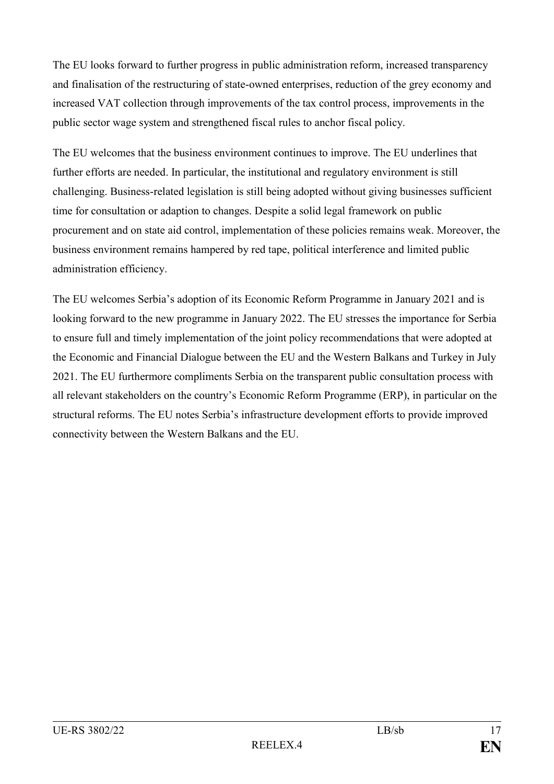The EU looks forward to further progress in public administration reform, increased transparency and finalisation of the restructuring of state-owned enterprises, reduction of the grey economy and increased VAT collection through improvements of the tax control process, improvements in the public sector wage system and strengthened fiscal rules to anchor fiscal policy.

The EU welcomes that the business environment continues to improve. The EU underlines that further efforts are needed. In particular, the institutional and regulatory environment is still challenging. Business-related legislation is still being adopted without giving businesses sufficient time for consultation or adaption to changes. Despite a solid legal framework on public procurement and on state aid control, implementation of these policies remains weak. Moreover, the business environment remains hampered by red tape, political interference and limited public administration efficiency.

The EU welcomes Serbia's adoption of its Economic Reform Programme in January 2021 and is looking forward to the new programme in January 2022. The EU stresses the importance for Serbia to ensure full and timely implementation of the joint policy recommendations that were adopted at the Economic and Financial Dialogue between the EU and the Western Balkans and Turkey in July 2021. The EU furthermore compliments Serbia on the transparent public consultation process with all relevant stakeholders on the country's Economic Reform Programme (ERP), in particular on the structural reforms. The EU notes Serbia's infrastructure development efforts to provide improved connectivity between the Western Balkans and the EU.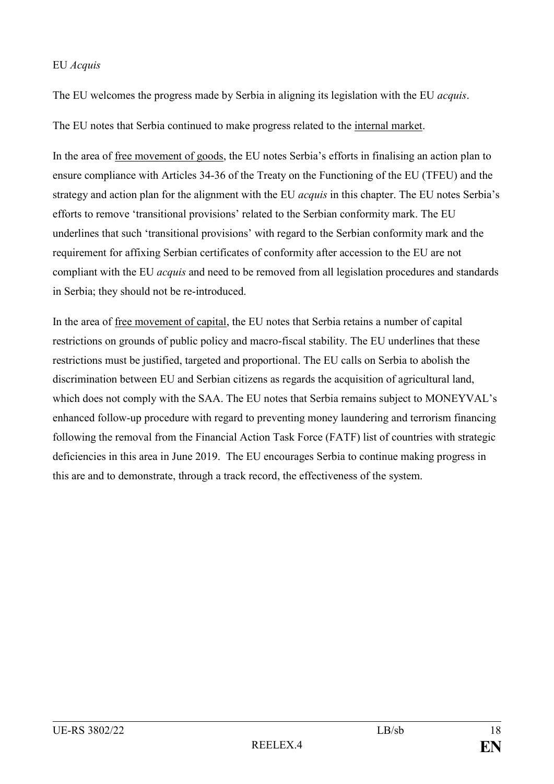# EU *Acquis*

The EU welcomes the progress made by Serbia in aligning its legislation with the EU *acquis*.

The EU notes that Serbia continued to make progress related to the internal market.

In the area of free movement of goods, the EU notes Serbia's efforts in finalising an action plan to ensure compliance with Articles 34-36 of the Treaty on the Functioning of the EU (TFEU) and the strategy and action plan for the alignment with the EU *acquis* in this chapter. The EU notes Serbia's efforts to remove 'transitional provisions' related to the Serbian conformity mark. The EU underlines that such 'transitional provisions' with regard to the Serbian conformity mark and the requirement for affixing Serbian certificates of conformity after accession to the EU are not compliant with the EU *acquis* and need to be removed from all legislation procedures and standards in Serbia; they should not be re-introduced.

In the area of free movement of capital, the EU notes that Serbia retains a number of capital restrictions on grounds of public policy and macro-fiscal stability. The EU underlines that these restrictions must be justified, targeted and proportional. The EU calls on Serbia to abolish the discrimination between EU and Serbian citizens as regards the acquisition of agricultural land, which does not comply with the SAA. The EU notes that Serbia remains subject to MONEYVAL's enhanced follow-up procedure with regard to preventing money laundering and terrorism financing following the removal from the Financial Action Task Force (FATF) list of countries with strategic deficiencies in this area in June 2019. The EU encourages Serbia to continue making progress in this are and to demonstrate, through a track record, the effectiveness of the system.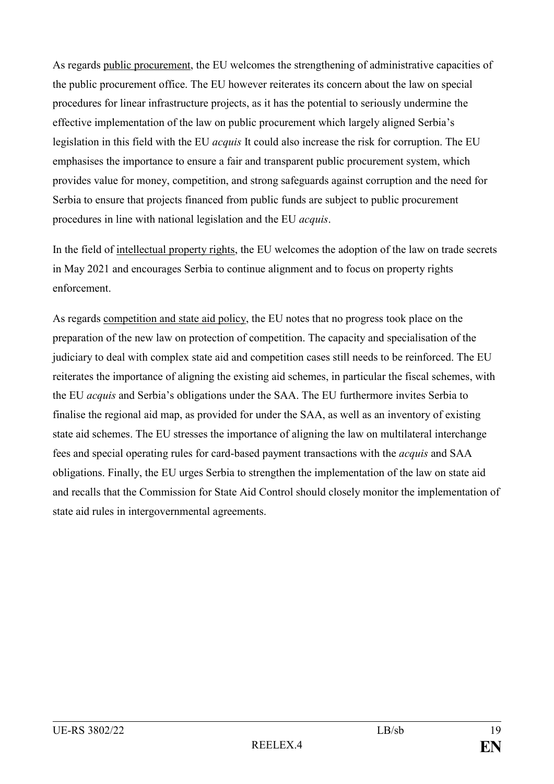As regards public procurement, the EU welcomes the strengthening of administrative capacities of the public procurement office. The EU however reiterates its concern about the law on special procedures for linear infrastructure projects, as it has the potential to seriously undermine the effective implementation of the law on public procurement which largely aligned Serbia's legislation in this field with the EU *acquis* It could also increase the risk for corruption. The EU emphasises the importance to ensure a fair and transparent public procurement system, which provides value for money, competition, and strong safeguards against corruption and the need for Serbia to ensure that projects financed from public funds are subject to public procurement procedures in line with national legislation and the EU *acquis*.

In the field of intellectual property rights, the EU welcomes the adoption of the law on trade secrets in May 2021 and encourages Serbia to continue alignment and to focus on property rights enforcement.

As regards competition and state aid policy, the EU notes that no progress took place on the preparation of the new law on protection of competition. The capacity and specialisation of the judiciary to deal with complex state aid and competition cases still needs to be reinforced. The EU reiterates the importance of aligning the existing aid schemes, in particular the fiscal schemes, with the EU *acquis* and Serbia's obligations under the SAA. The EU furthermore invites Serbia to finalise the regional aid map, as provided for under the SAA, as well as an inventory of existing state aid schemes. The EU stresses the importance of aligning the law on multilateral interchange fees and special operating rules for card-based payment transactions with the *acquis* and SAA obligations. Finally, the EU urges Serbia to strengthen the implementation of the law on state aid and recalls that the Commission for State Aid Control should closely monitor the implementation of state aid rules in intergovernmental agreements.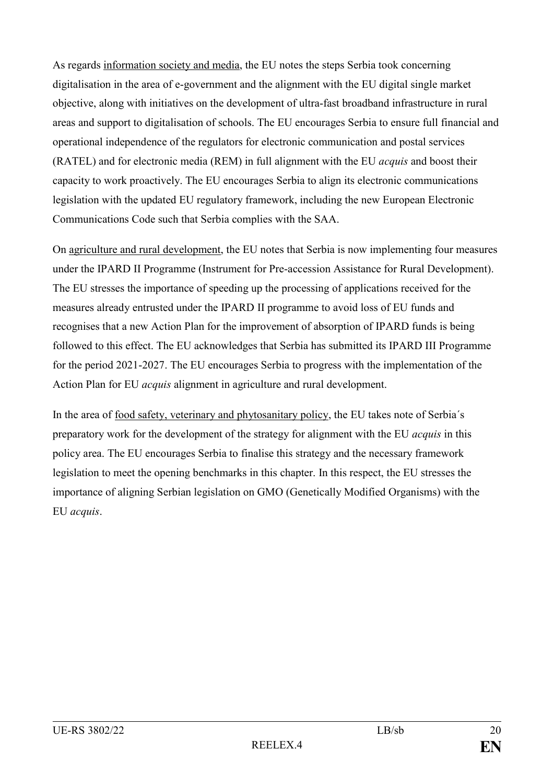As regards information society and media, the EU notes the steps Serbia took concerning digitalisation in the area of e-government and the alignment with the EU digital single market objective, along with initiatives on the development of ultra-fast broadband infrastructure in rural areas and support to digitalisation of schools. The EU encourages Serbia to ensure full financial and operational independence of the regulators for electronic communication and postal services (RATEL) and for electronic media (REM) in full alignment with the EU *acquis* and boost their capacity to work proactively. The EU encourages Serbia to align its electronic communications legislation with the updated EU regulatory framework, including the new European Electronic Communications Code such that Serbia complies with the SAA.

On agriculture and rural development, the EU notes that Serbia is now implementing four measures under the IPARD II Programme (Instrument for Pre-accession Assistance for Rural Development). The EU stresses the importance of speeding up the processing of applications received for the measures already entrusted under the IPARD II programme to avoid loss of EU funds and recognises that a new Action Plan for the improvement of absorption of IPARD funds is being followed to this effect. The EU acknowledges that Serbia has submitted its IPARD III Programme for the period 2021-2027. The EU encourages Serbia to progress with the implementation of the Action Plan for EU *acquis* alignment in agriculture and rural development.

In the area of food safety, veterinary and phytosanitary policy, the EU takes note of Serbia´s preparatory work for the development of the strategy for alignment with the EU *acquis* in this policy area. The EU encourages Serbia to finalise this strategy and the necessary framework legislation to meet the opening benchmarks in this chapter. In this respect, the EU stresses the importance of aligning Serbian legislation on GMO (Genetically Modified Organisms) with the EU *acquis*.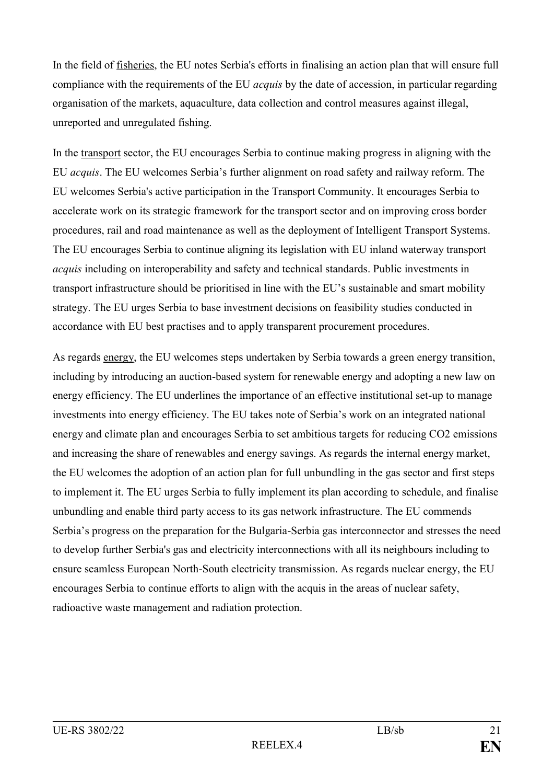In the field of fisheries, the EU notes Serbia's efforts in finalising an action plan that will ensure full compliance with the requirements of the EU *acquis* by the date of accession, in particular regarding organisation of the markets, aquaculture, data collection and control measures against illegal, unreported and unregulated fishing.

In the transport sector, the EU encourages Serbia to continue making progress in aligning with the EU *acquis*. The EU welcomes Serbia's further alignment on road safety and railway reform. The EU welcomes Serbia's active participation in the Transport Community. It encourages Serbia to accelerate work on its strategic framework for the transport sector and on improving cross border procedures, rail and road maintenance as well as the deployment of Intelligent Transport Systems. The EU encourages Serbia to continue aligning its legislation with EU inland waterway transport *acquis* including on interoperability and safety and technical standards. Public investments in transport infrastructure should be prioritised in line with the EU's sustainable and smart mobility strategy. The EU urges Serbia to base investment decisions on feasibility studies conducted in accordance with EU best practises and to apply transparent procurement procedures.

As regards energy, the EU welcomes steps undertaken by Serbia towards a green energy transition, including by introducing an auction-based system for renewable energy and adopting a new law on energy efficiency. The EU underlines the importance of an effective institutional set-up to manage investments into energy efficiency. The EU takes note of Serbia's work on an integrated national energy and climate plan and encourages Serbia to set ambitious targets for reducing CO2 emissions and increasing the share of renewables and energy savings. As regards the internal energy market, the EU welcomes the adoption of an action plan for full unbundling in the gas sector and first steps to implement it. The EU urges Serbia to fully implement its plan according to schedule, and finalise unbundling and enable third party access to its gas network infrastructure. The EU commends Serbia's progress on the preparation for the Bulgaria-Serbia gas interconnector and stresses the need to develop further Serbia's gas and electricity interconnections with all its neighbours including to ensure seamless European North-South electricity transmission. As regards nuclear energy, the EU encourages Serbia to continue efforts to align with the acquis in the areas of nuclear safety, radioactive waste management and radiation protection.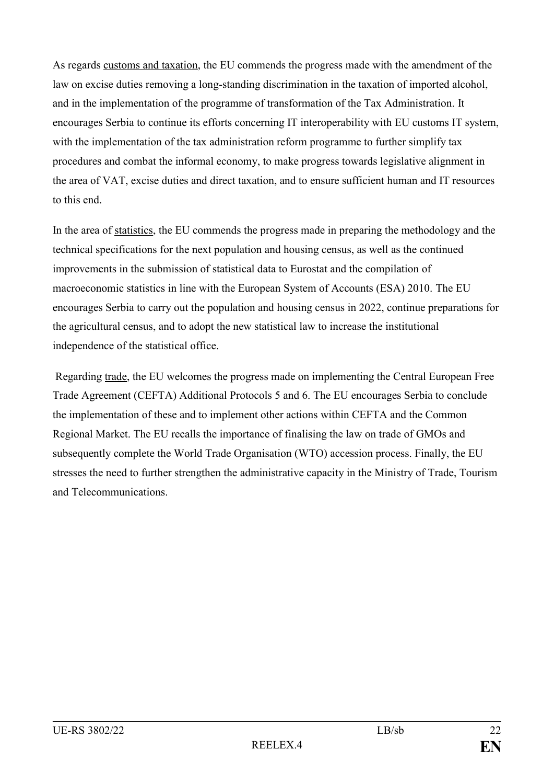As regards customs and taxation, the EU commends the progress made with the amendment of the law on excise duties removing a long-standing discrimination in the taxation of imported alcohol, and in the implementation of the programme of transformation of the Tax Administration. It encourages Serbia to continue its efforts concerning IT interoperability with EU customs IT system, with the implementation of the tax administration reform programme to further simplify tax procedures and combat the informal economy, to make progress towards legislative alignment in the area of VAT, excise duties and direct taxation, and to ensure sufficient human and IT resources to this end.

In the area of statistics, the EU commends the progress made in preparing the methodology and the technical specifications for the next population and housing census, as well as the continued improvements in the submission of statistical data to Eurostat and the compilation of macroeconomic statistics in line with the European System of Accounts (ESA) 2010. The EU encourages Serbia to carry out the population and housing census in 2022, continue preparations for the agricultural census, and to adopt the new statistical law to increase the institutional independence of the statistical office.

Regarding trade, the EU welcomes the progress made on implementing the Central European Free Trade Agreement (CEFTA) Additional Protocols 5 and 6. The EU encourages Serbia to conclude the implementation of these and to implement other actions within CEFTA and the Common Regional Market. The EU recalls the importance of finalising the law on trade of GMOs and subsequently complete the World Trade Organisation (WTO) accession process. Finally, the EU stresses the need to further strengthen the administrative capacity in the Ministry of Trade, Tourism and Telecommunications.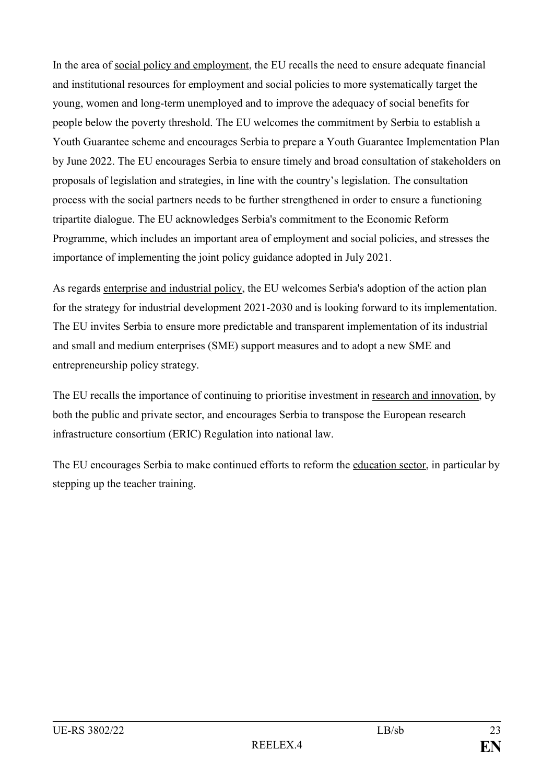In the area of social policy and employment, the EU recalls the need to ensure adequate financial and institutional resources for employment and social policies to more systematically target the young, women and long-term unemployed and to improve the adequacy of social benefits for people below the poverty threshold. The EU welcomes the commitment by Serbia to establish a Youth Guarantee scheme and encourages Serbia to prepare a Youth Guarantee Implementation Plan by June 2022. The EU encourages Serbia to ensure timely and broad consultation of stakeholders on proposals of legislation and strategies, in line with the country's legislation. The consultation process with the social partners needs to be further strengthened in order to ensure a functioning tripartite dialogue. The EU acknowledges Serbia's commitment to the Economic Reform Programme, which includes an important area of employment and social policies, and stresses the importance of implementing the joint policy guidance adopted in July 2021.

As regards enterprise and industrial policy, the EU welcomes Serbia's adoption of the action plan for the strategy for industrial development 2021-2030 and is looking forward to its implementation. The EU invites Serbia to ensure more predictable and transparent implementation of its industrial and small and medium enterprises (SME) support measures and to adopt a new SME and entrepreneurship policy strategy.

The EU recalls the importance of continuing to prioritise investment in research and innovation, by both the public and private sector, and encourages Serbia to transpose the European research infrastructure consortium (ERIC) Regulation into national law.

The EU encourages Serbia to make continued efforts to reform the education sector, in particular by stepping up the teacher training.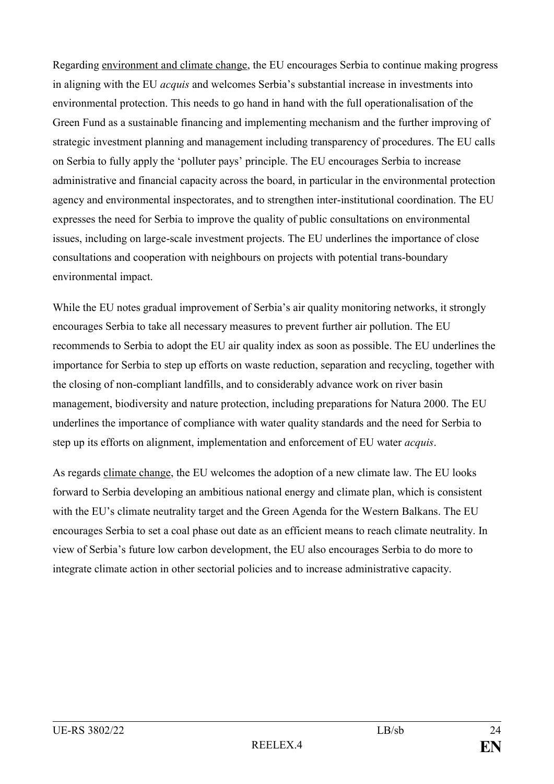Regarding environment and climate change, the EU encourages Serbia to continue making progress in aligning with the EU *acquis* and welcomes Serbia's substantial increase in investments into environmental protection. This needs to go hand in hand with the full operationalisation of the Green Fund as a sustainable financing and implementing mechanism and the further improving of strategic investment planning and management including transparency of procedures. The EU calls on Serbia to fully apply the 'polluter pays' principle. The EU encourages Serbia to increase administrative and financial capacity across the board, in particular in the environmental protection agency and environmental inspectorates, and to strengthen inter-institutional coordination. The EU expresses the need for Serbia to improve the quality of public consultations on environmental issues, including on large-scale investment projects. The EU underlines the importance of close consultations and cooperation with neighbours on projects with potential trans-boundary environmental impact.

While the EU notes gradual improvement of Serbia's air quality monitoring networks, it strongly encourages Serbia to take all necessary measures to prevent further air pollution. The EU recommends to Serbia to adopt the EU air quality index as soon as possible. The EU underlines the importance for Serbia to step up efforts on waste reduction, separation and recycling, together with the closing of non-compliant landfills, and to considerably advance work on river basin management, biodiversity and nature protection, including preparations for Natura 2000. The EU underlines the importance of compliance with water quality standards and the need for Serbia to step up its efforts on alignment, implementation and enforcement of EU water *acquis*.

As regards climate change, the EU welcomes the adoption of a new climate law. The EU looks forward to Serbia developing an ambitious national energy and climate plan, which is consistent with the EU's climate neutrality target and the Green Agenda for the Western Balkans. The EU encourages Serbia to set a coal phase out date as an efficient means to reach climate neutrality. In view of Serbia's future low carbon development, the EU also encourages Serbia to do more to integrate climate action in other sectorial policies and to increase administrative capacity.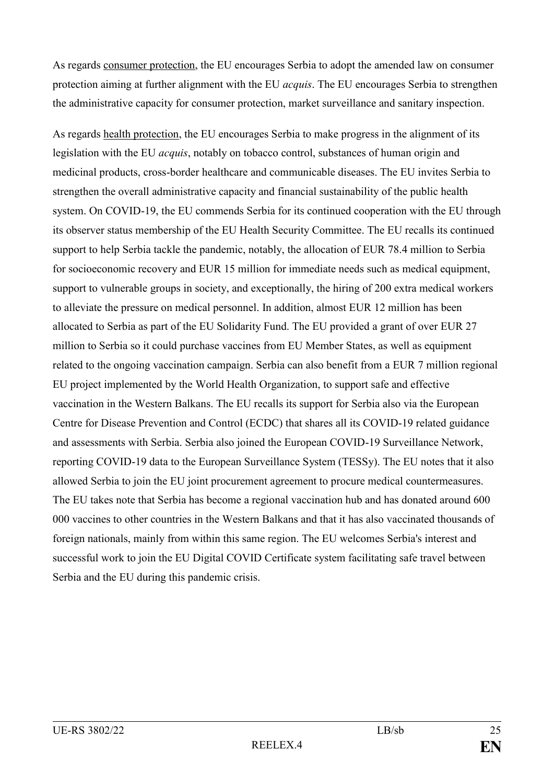As regards consumer protection, the EU encourages Serbia to adopt the amended law on consumer protection aiming at further alignment with the EU *acquis*. The EU encourages Serbia to strengthen the administrative capacity for consumer protection, market surveillance and sanitary inspection.

As regards health protection, the EU encourages Serbia to make progress in the alignment of its legislation with the EU *acquis*, notably on tobacco control, substances of human origin and medicinal products, cross-border healthcare and communicable diseases. The EU invites Serbia to strengthen the overall administrative capacity and financial sustainability of the public health system. On COVID-19, the EU commends Serbia for its continued cooperation with the EU through its observer status membership of the EU Health Security Committee. The EU recalls its continued support to help Serbia tackle the pandemic, notably, the allocation of EUR 78.4 million to Serbia for socioeconomic recovery and EUR 15 million for immediate needs such as medical equipment, support to vulnerable groups in society, and exceptionally, the hiring of 200 extra medical workers to alleviate the pressure on medical personnel. In addition, almost EUR 12 million has been allocated to Serbia as part of the EU Solidarity Fund. The EU provided a grant of over EUR 27 million to Serbia so it could purchase vaccines from EU Member States, as well as equipment related to the ongoing vaccination campaign. Serbia can also benefit from a EUR 7 million regional EU project implemented by the World Health Organization, to support safe and effective vaccination in the Western Balkans. The EU recalls its support for Serbia also via the European Centre for Disease Prevention and Control (ECDC) that shares all its COVID-19 related guidance and assessments with Serbia. Serbia also joined the European COVID-19 Surveillance Network, reporting COVID-19 data to the European Surveillance System (TESSy). The EU notes that it also allowed Serbia to join the EU joint procurement agreement to procure medical countermeasures. The EU takes note that Serbia has become a regional vaccination hub and has donated around 600 000 vaccines to other countries in the Western Balkans and that it has also vaccinated thousands of foreign nationals, mainly from within this same region. The EU welcomes Serbia's interest and successful work to join the EU Digital COVID Certificate system facilitating safe travel between Serbia and the EU during this pandemic crisis.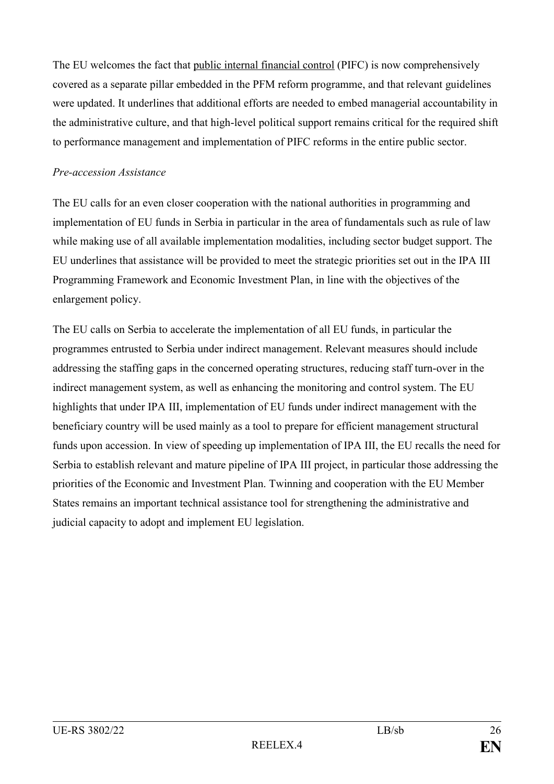The EU welcomes the fact that public internal financial control (PIFC) is now comprehensively covered as a separate pillar embedded in the PFM reform programme, and that relevant guidelines were updated. It underlines that additional efforts are needed to embed managerial accountability in the administrative culture, and that high-level political support remains critical for the required shift to performance management and implementation of PIFC reforms in the entire public sector.

# *Pre-accession Assistance*

The EU calls for an even closer cooperation with the national authorities in programming and implementation of EU funds in Serbia in particular in the area of fundamentals such as rule of law while making use of all available implementation modalities, including sector budget support. The EU underlines that assistance will be provided to meet the strategic priorities set out in the IPA III Programming Framework and Economic Investment Plan, in line with the objectives of the enlargement policy.

The EU calls on Serbia to accelerate the implementation of all EU funds, in particular the programmes entrusted to Serbia under indirect management. Relevant measures should include addressing the staffing gaps in the concerned operating structures, reducing staff turn-over in the indirect management system, as well as enhancing the monitoring and control system. The EU highlights that under IPA III, implementation of EU funds under indirect management with the beneficiary country will be used mainly as a tool to prepare for efficient management structural funds upon accession. In view of speeding up implementation of IPA III, the EU recalls the need for Serbia to establish relevant and mature pipeline of IPA III project, in particular those addressing the priorities of the Economic and Investment Plan. Twinning and cooperation with the EU Member States remains an important technical assistance tool for strengthening the administrative and judicial capacity to adopt and implement EU legislation.